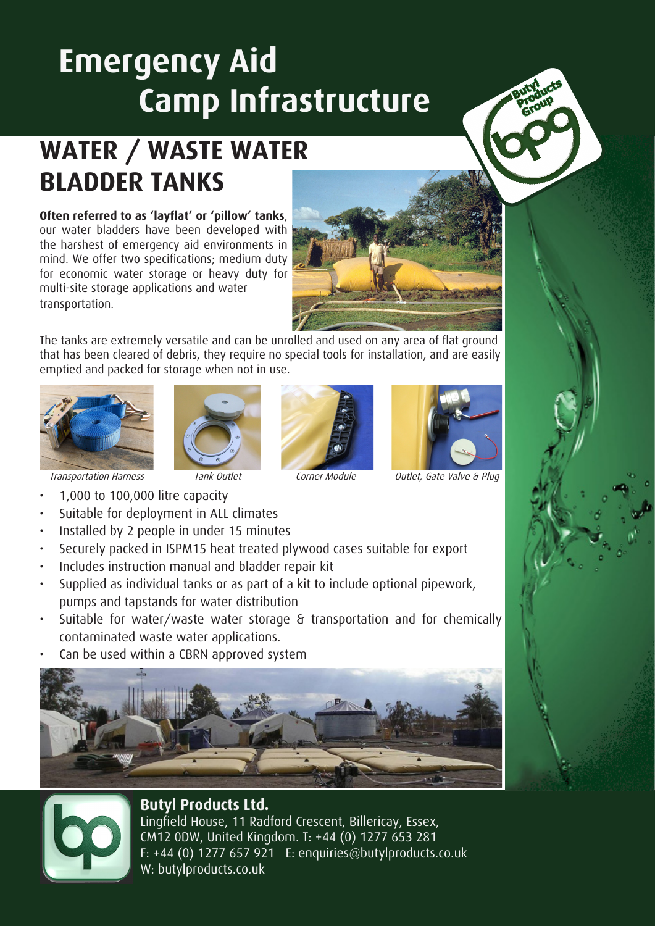# **Emergency Aid Camp Infrastructure**

## **WATER / WASTE WATER BLADDER TANKS**

#### **Often referred to as 'layflat' or 'pillow' tanks**, our water bladders have been developed with

the harshest of emergency aid environments in mind. We offer two specifications; medium duty for economic water storage or heavy duty for multi-site storage applications and water transportation.

The tanks are extremely versatile and can be unrolled and used on any area of flat ground that has been cleared of debris, they require no special tools for installation, and are easily emptied and packed for storage when not in use.









Transportation Harness Tank Outlet Corner Module Outlet, Gate Valve & Plug

- 1,000 to 100,000 litre capacity
- Suitable for deployment in ALL climates
- Installed by 2 people in under 15 minutes
- Securely packed in ISPM15 heat treated plywood cases suitable for export
- Includes instruction manual and bladder repair kit
- Supplied as individual tanks or as part of a kit to include optional pipework, pumps and tapstands for water distribution
- Suitable for water/waste water storage & transportation and for chemically contaminated waste water applications.
- Can be used within a CBRN approved system





### **Butyl Products Ltd.**

Lingfield House, 11 Radford Crescent, Billericay, Essex, CM12 0DW, United Kingdom. T: +44 (0) 1277 653 281 F: +44 (0) 1277 657 921 E: enquiries@butylproducts.co.uk W: butylproducts.co.uk